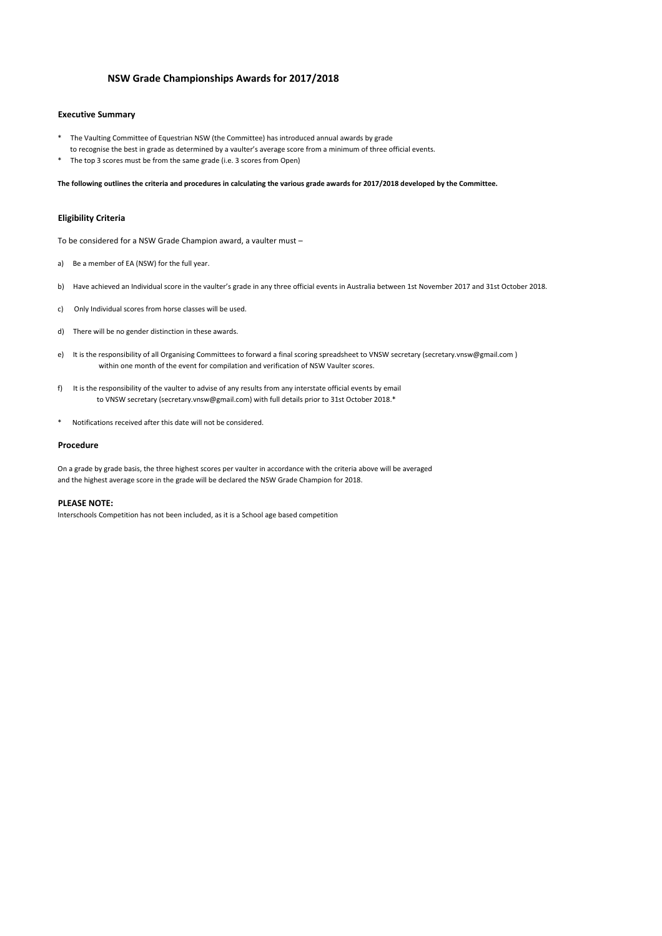### **NSW Grade Championships Awards for 2017/2018**

### **Executive Summary**

- The Vaulting Committee of Equestrian NSW (the Committee) has introduced annual awards by grade to recognise the best in grade as determined by a vaulter's average score from a minimum of three official events.
- The top 3 scores must be from the same grade (i.e. 3 scores from Open)

**The following outlines the criteria and procedures in calculating the various grade awards for 2017/2018 developed by the Committee.**

#### **Eligibility Criteria**

To be considered for a NSW Grade Champion award, a vaulter must –

- a) Be a member of EA (NSW) for the full year.
- b) Have achieved an Individual score in the vaulter's grade in any three official events in Australia between 1st November 2017 and 31st October 2018.
- c) Only Individual scores from horse classes will be used.
- d) There will be no gender distinction in these awards.
- e) It is the responsibility of all Organising Committees to forward a final scoring spreadsheet to VNSW secretary (secretary.vnsw@gmail.com) within one month of the event for compilation and verification of NSW Vaulter scores.
- f) It is the responsibility of the vaulter to advise of any results from any interstate official events by email to VNSW secretary (secretary.vnsw@gmail.com) with full details prior to 31st October 2018.\*
- \* Notifications received after this date will not be considered.

#### **Procedure**

On a grade by grade basis, the three highest scores per vaulter in accordance with the criteria above will be averaged and the highest average score in the grade will be declared the NSW Grade Champion for 2018.

### **PLEASE NOTE:**

Interschools Competition has not been included, as it is a School age based competition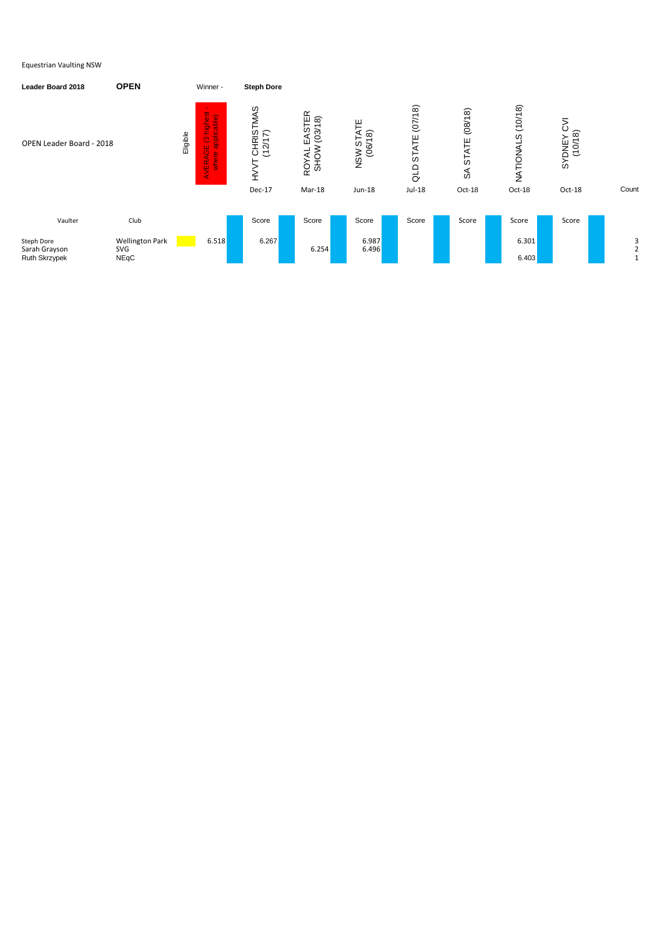| <b>Leader Board 2018</b>                            | <b>OPEN</b>                                  | Winner -                                                                                 | <b>Steph Dore</b>    |                                                  |                            |                         |                                                        |                                              |                          |       |
|-----------------------------------------------------|----------------------------------------------|------------------------------------------------------------------------------------------|----------------------|--------------------------------------------------|----------------------------|-------------------------|--------------------------------------------------------|----------------------------------------------|--------------------------|-------|
| OPEN Leader Board - 2018                            |                                              | highest<br>licable)<br>Eligible<br>ildde<br>$\overline{\mathcal{C}}$<br>AVERAGE<br>where | CHRISTMAS<br>(12/17) | EASTER<br>(03/18)<br><b>SHOW</b><br><b>ROYAL</b> | ATE<br>NSW STAT<br>(06/18) | (07/18)<br>STATE<br>QLD | (08/18)<br><b>STATE</b><br>$\mathcal{S}^{\mathcal{S}}$ | (10/18)<br>S.<br><b>INNOI</b><br>T<br>N<br>N | (10/18)<br><b>SYDNEY</b> |       |
|                                                     |                                              |                                                                                          | Dec-17               | Mar-18                                           | Jun-18                     | Jul-18                  | Oct-18                                                 | Oct-18                                       | Oct-18                   | Count |
|                                                     |                                              |                                                                                          |                      |                                                  |                            |                         |                                                        |                                              |                          |       |
| Vaulter                                             | Club                                         |                                                                                          | Score                | Score                                            | Score                      | Score                   | Score                                                  | Score                                        | Score                    |       |
| <b>Steph Dore</b><br>Sarah Grayson<br>Ruth Skrzypek | <b>Wellington Park</b><br>SVG<br><b>NEqC</b> | 6.518                                                                                    | 6.267                | 6.254                                            | 6.987<br>6.496             |                         |                                                        | 6.301<br>6.403                               |                          | 3     |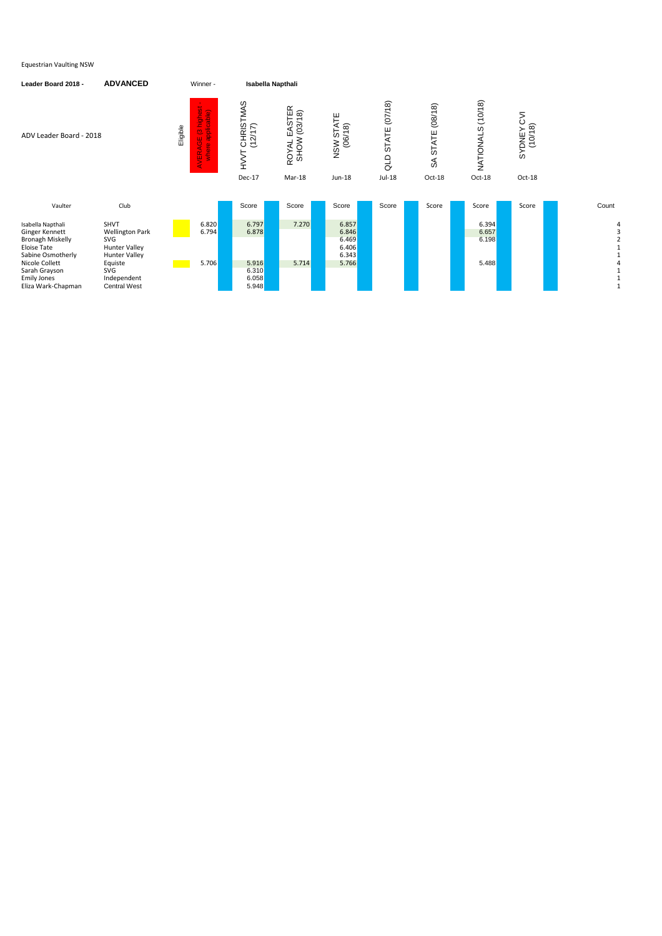| Leader Board 2018 -                                                                                                                                                                      | <b>ADVANCED</b>                                                                                                                                      | Winner -                                                                           | <b>Isabella Napthali</b>                                                                 |                                                            |                                                    |                                            |                                              |                                  |                                               |       |
|------------------------------------------------------------------------------------------------------------------------------------------------------------------------------------------|------------------------------------------------------------------------------------------------------------------------------------------------------|------------------------------------------------------------------------------------|------------------------------------------------------------------------------------------|------------------------------------------------------------|----------------------------------------------------|--------------------------------------------|----------------------------------------------|----------------------------------|-----------------------------------------------|-------|
| ADV Leader Board - 2018                                                                                                                                                                  |                                                                                                                                                      | highest<br>applicable)<br>Eligible<br>$\overline{\mathcal{O}}$<br>AVERAGE<br>where | CHRISTMAS<br>(12/17)<br>$\stackrel{\textstyle{>}}{\textstyle{\textstyle\tau}}$<br>Dec-17 | EASTER<br>(03/18)<br><b>SHOW</b><br><b>ROYAL</b><br>Mar-18 | <b>SW STATE</b><br>(06/18)<br>NSW<br>Jun-18        | (07/18)<br><b>STATE</b><br>aLD<br>$Jul-18$ | (08/18)<br>STATE<br>$\mathfrak{F}$<br>Oct-18 | NATIONALS (10/18)<br>Oct-18      | ⋝<br>نَ<br>(10/18)<br><b>SYDNEY</b><br>Oct-18 |       |
| Vaulter                                                                                                                                                                                  | Club                                                                                                                                                 |                                                                                    | Score                                                                                    | Score                                                      | Score                                              | Score                                      | Score                                        | Score                            | Score                                         | Count |
| Isabella Napthali<br>Ginger Kennett<br><b>Bronagh Miskelly</b><br><b>Eloise Tate</b><br>Sabine Osmotherly<br>Nicole Collett<br>Sarah Grayson<br><b>Emily Jones</b><br>Eliza Wark-Chapman | <b>SHVT</b><br><b>Wellington Park</b><br>SVG<br><b>Hunter Valley</b><br><b>Hunter Valley</b><br>Equiste<br>SVG<br>Independent<br><b>Central West</b> | 6.820<br>6.794<br>5.706                                                            | 6.797<br>6.878<br>5.916<br>6.310<br>6.058<br>5.948                                       | 7.270<br>5.714                                             | 6.857<br>6.846<br>6.469<br>6.406<br>6.343<br>5.766 |                                            |                                              | 6.394<br>6.657<br>6.198<br>5.488 |                                               |       |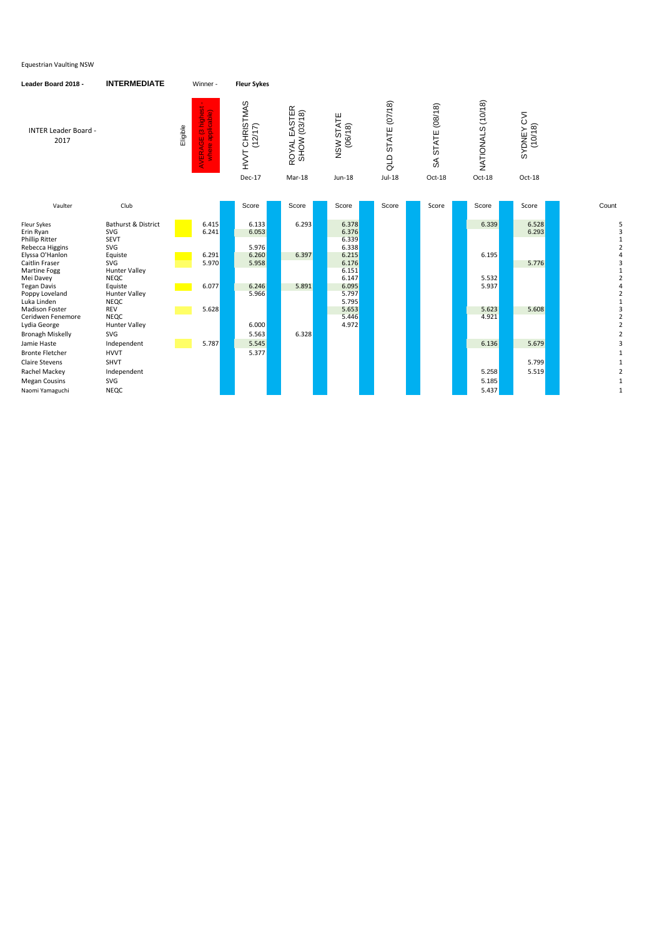| Leader Board 2018 -                                                                | <b>INTERMEDIATE</b>                                              | Winner -                                            | <b>Fleur Sykes</b>           |                                        |                                   |                             |                               |                   |                       |                                     |
|------------------------------------------------------------------------------------|------------------------------------------------------------------|-----------------------------------------------------|------------------------------|----------------------------------------|-----------------------------------|-----------------------------|-------------------------------|-------------------|-----------------------|-------------------------------------|
| <b>INTER Leader Board -</b><br>2017                                                |                                                                  | AVERAGE (3 highest<br>where applicable)<br>Eligible | CHRISTMAS<br>(12/17)<br>HVVT | EASTER<br>SHOW (03/18)<br><b>ROYAL</b> | <b>SW STATE</b><br>(06/18)<br>NSW | <b>STATE (07/18)</b><br>QLD | <b>STATE (08/18)</b><br>$\Im$ | NATIONALS (10/18) | SYDNEY CVI<br>(10/18) |                                     |
|                                                                                    |                                                                  |                                                     | Dec-17                       | Mar-18                                 | Jun-18                            | $Jul-18$                    | Oct-18                        | Oct-18            | Oct-18                |                                     |
|                                                                                    |                                                                  |                                                     |                              |                                        |                                   |                             |                               |                   |                       |                                     |
| Vaulter                                                                            | Club                                                             |                                                     | Score                        | Score                                  | Score                             | Score                       | Score                         | Score             | Score                 | Count                               |
| Fleur Sykes<br>Erin Ryan<br><b>Phillip Ritter</b>                                  | Bathurst & District<br>SVG<br><b>SEVT</b>                        | 6.415<br>6.241                                      | 6.133<br>6.053               | 6.293                                  | 6.378<br>6.376<br>6.339           |                             |                               | 6.339             | 6.528<br>6.293        |                                     |
| Rebecca Higgins<br>Elyssa O'Hanlon<br><b>Caitlin Fraser</b><br><b>Martine Fogg</b> | SVG<br>Equiste<br>SVG<br><b>Hunter Valley</b>                    | 6.291<br>5.970                                      | 5.976<br>6.260<br>5.958      | 6.397                                  | 6.338<br>6.215<br>6.176<br>6.151  |                             |                               | 6.195             | 5.776                 |                                     |
| Mei Davey<br><b>Tegan Davis</b><br>Poppy Loveland                                  | <b>NEQC</b><br>Equiste<br><b>Hunter Valley</b>                   | 6.077                                               | 6.246<br>5.966               | 5.891                                  | 6.147<br>6.095<br>5.797           |                             |                               | 5.532<br>5.937    |                       | $\overline{2}$                      |
| Luka Linden<br><b>Madison Foster</b><br>Ceridwen Fenemore<br>Lydia George          | <b>NEQC</b><br><b>REV</b><br><b>NEQC</b><br><b>Hunter Valley</b> | 5.628                                               | 6.000                        |                                        | 5.795<br>5.653<br>5.446<br>4.972  |                             |                               | 5.623<br>4.921    | 5.608                 | $\mathbf{1}$<br>3<br>$\overline{2}$ |
| <b>Bronagh Miskelly</b><br>Jamie Haste                                             | SVG<br>Independent                                               | 5.787                                               | 5.563<br>5.545               | 6.328                                  |                                   |                             |                               | 6.136             | 5.679                 | $\overline{2}$<br>3                 |
| <b>Bronte Fletcher</b><br><b>Claire Stevens</b>                                    | <b>HVVT</b><br><b>SHVT</b>                                       |                                                     | 5.377                        |                                        |                                   |                             |                               |                   | 5.799                 |                                     |
| Rachel Mackey                                                                      | Independent                                                      |                                                     |                              |                                        |                                   |                             |                               | 5.258             | 5.519                 |                                     |
| <b>Megan Cousins</b><br>Naomi Yamaguchi                                            | SVG<br><b>NEQC</b>                                               |                                                     |                              |                                        |                                   |                             |                               | 5.185<br>5.437    |                       | $\mathbf{1}$                        |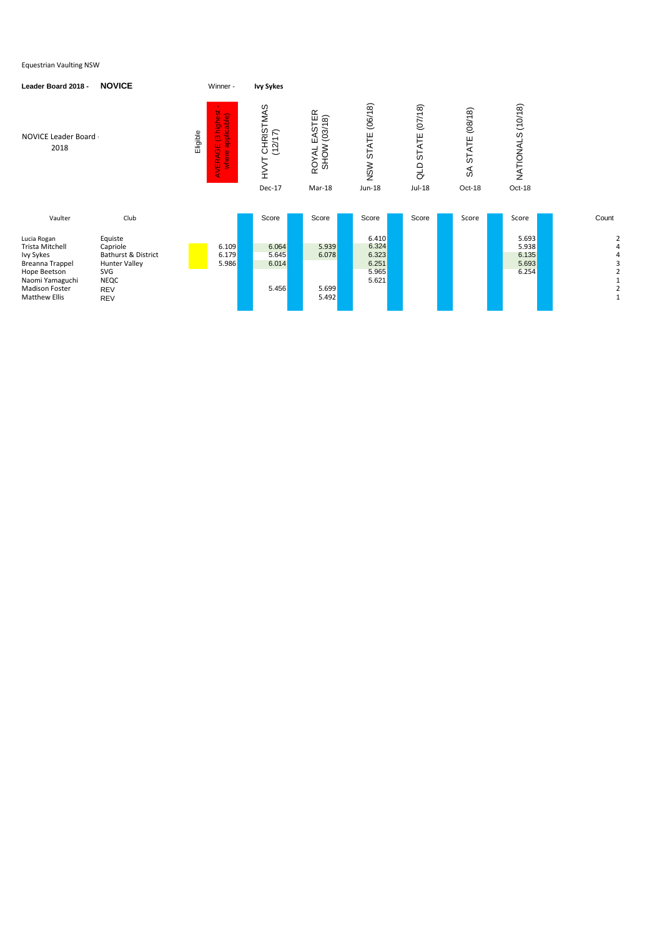| Leader Board 2018 -                                                                                                                                       | <b>NOVICE</b>                                                                                                        |          | Winner -                                           | <b>Ivy Sykes</b>                               |                                                            |                                                    |                                            |                                              |                                           |       |
|-----------------------------------------------------------------------------------------------------------------------------------------------------------|----------------------------------------------------------------------------------------------------------------------|----------|----------------------------------------------------|------------------------------------------------|------------------------------------------------------------|----------------------------------------------------|--------------------------------------------|----------------------------------------------|-------------------------------------------|-------|
| NOVICE Leader Board -<br>2018                                                                                                                             |                                                                                                                      | Eligible | iE (3 highest -<br>applicable)<br>AVERAGE<br>where | CHRISTMAS<br>(12/17)<br>⊢<br>)<br>NH<br>Dec-17 | EASTER<br>(03/18)<br><b>SHOW</b><br><b>ROYAL</b><br>Mar-18 | (06/18)<br>STATE<br>NSW<br><b>Jun-18</b>           | (07/18)<br><b>STATE</b><br>QLD<br>$Jul-18$ | (08/18)<br>STATE<br>$\mathfrak{F}$<br>Oct-18 | NATIONALS (10/18)<br>Oct-18               |       |
| Vaulter                                                                                                                                                   | Club                                                                                                                 |          |                                                    | Score                                          | Score                                                      | Score                                              | Score                                      | Score                                        | Score                                     | Count |
| Lucia Rogan<br>Trista Mitchell<br>Ivy Sykes<br><b>Breanna Trappel</b><br>Hope Beetson<br>Naomi Yamaguchi<br><b>Madison Foster</b><br><b>Matthew Ellis</b> | Equiste<br>Capriole<br>Bathurst & District<br><b>Hunter Valley</b><br>SVG<br><b>NEQC</b><br><b>REV</b><br><b>REV</b> |          | 6.109<br>6.179<br>5.986                            | 6.064<br>5.645<br>6.014<br>5.456               | 5.939<br>6.078<br>5.699<br>5.492                           | 6.410<br>6.324<br>6.323<br>6.251<br>5.965<br>5.621 |                                            |                                              | 5.693<br>5.938<br>6.135<br>5.693<br>6.254 | 2     |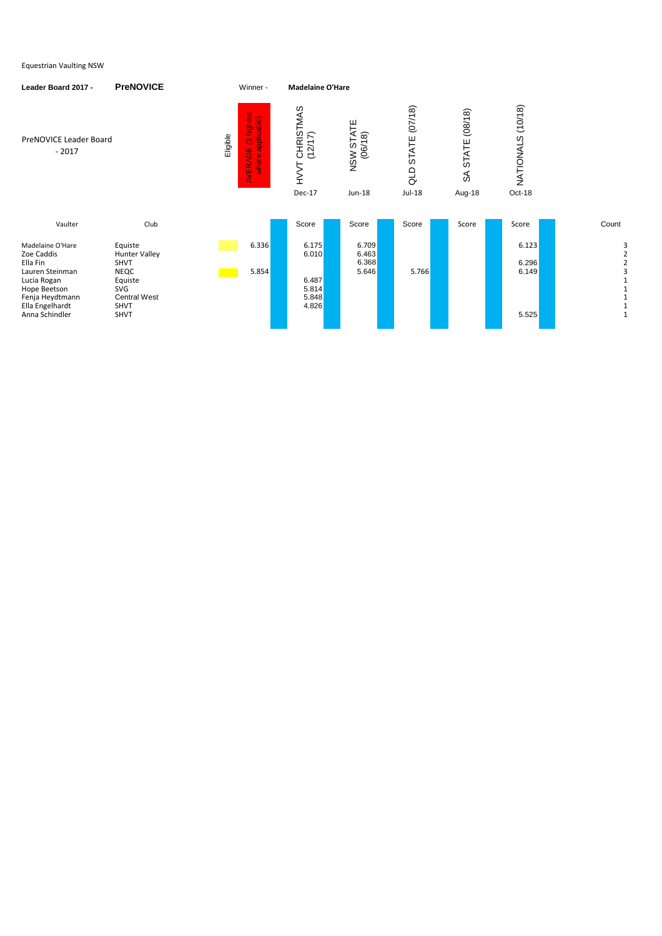| Leader Board 2017 -                                                                                                                                  | <b>PreNOVICE</b>                                                                                                                     | Winner -                                                                      | <b>Madelaine O'Hare</b>                                            |                                               |                                   |                                 |                                  |       |
|------------------------------------------------------------------------------------------------------------------------------------------------------|--------------------------------------------------------------------------------------------------------------------------------------|-------------------------------------------------------------------------------|--------------------------------------------------------------------|-----------------------------------------------|-----------------------------------|---------------------------------|----------------------------------|-------|
| PreNOVICE Leader Board<br>$-2017$                                                                                                                    |                                                                                                                                      | highest<br>applicable)<br>Eligible<br>$\ddot{\mathbf{C}}$<br>AVERAGE<br>where | CHRISTMAS<br>$\widehat{\kappa}$<br>(12/1)<br>HVVT<br><b>Dec-17</b> | <b>STATE</b><br>NSW STAT<br>(06/18)<br>Jun-18 | (07/18)<br>STATE<br>QLD<br>Jul-18 | (08/18)<br>STATE<br>న<br>Aug-18 | (10/18)<br>NATIONALS<br>Oct-18   |       |
| Vaulter                                                                                                                                              | Club                                                                                                                                 |                                                                               | Score                                                              | Score                                         | Score                             | Score                           | Score                            | Count |
| Madelaine O'Hare<br>Zoe Caddis<br>Ella Fin<br>Lauren Steinman<br>Lucia Rogan<br>Hope Beetson<br>Fenja Heydtmann<br>Ella Engelhardt<br>Anna Schindler | Equiste<br><b>Hunter Valley</b><br><b>SHVT</b><br><b>NEQC</b><br>Equiste<br><b>SVG</b><br><b>Central West</b><br>SHVT<br><b>SHVT</b> | 6.336<br>5.854                                                                | 6.175<br>6.010<br>6.487<br>5.814<br>5.848<br>4.826                 | 6.709<br>6.463<br>6.368<br>5.646              | 5.766                             |                                 | 6.123<br>6.296<br>6.149<br>5.525 | 1     |